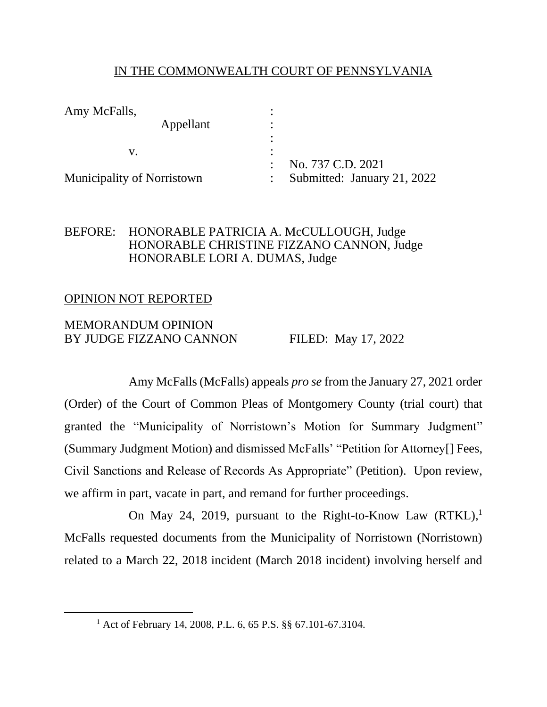## IN THE COMMONWEALTH COURT OF PENNSYLVANIA

| Amy McFalls,<br>Appellant         |                             |
|-----------------------------------|-----------------------------|
|                                   |                             |
|                                   |                             |
|                                   | No. 737 C.D. 2021           |
| <b>Municipality of Norristown</b> | Submitted: January 21, 2022 |

## BEFORE: HONORABLE PATRICIA A. McCULLOUGH, Judge HONORABLE CHRISTINE FIZZANO CANNON, Judge HONORABLE LORI A. DUMAS, Judge

## OPINION NOT REPORTED

# MEMORANDUM OPINION BY JUDGE FIZZANO CANNON FILED: May 17, 2022

Amy McFalls (McFalls) appeals *pro se* from the January 27, 2021 order (Order) of the Court of Common Pleas of Montgomery County (trial court) that granted the "Municipality of Norristown's Motion for Summary Judgment" (Summary Judgment Motion) and dismissed McFalls' "Petition for Attorney[] Fees, Civil Sanctions and Release of Records As Appropriate" (Petition). Upon review, we affirm in part, vacate in part, and remand for further proceedings.

On May 24, 2019, pursuant to the Right-to-Know Law (RTKL),<sup>1</sup> McFalls requested documents from the Municipality of Norristown (Norristown) related to a March 22, 2018 incident (March 2018 incident) involving herself and

<sup>1</sup> Act of February 14, 2008, P.L. 6, 65 P.S. §§ 67.101-67.3104.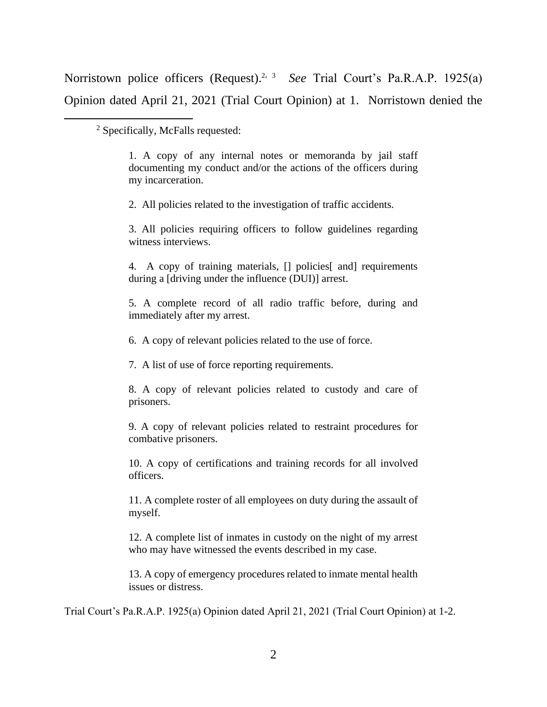Norristown police officers (Request).<sup>2, 3</sup> See Trial Court's Pa.R.A.P. 1925(a) Opinion dated April 21, 2021 (Trial Court Opinion) at 1. Norristown denied the

<sup>2</sup> Specifically, McFalls requested:

1. A copy of any internal notes or memoranda by jail staff documenting my conduct and/or the actions of the officers during my incarceration.

2. All policies related to the investigation of traffic accidents.

3. All policies requiring officers to follow guidelines regarding witness interviews.

4. A copy of training materials,  $\Box$  policies and requirements during a [driving under the influence (DUI)] arrest.

5. A complete record of all radio traffic before, during and immediately after my arrest.

6. A copy of relevant policies related to the use of force.

7. A list of use of force reporting requirements.

8. A copy of relevant policies related to custody and care of prisoners.

9. A copy of relevant policies related to restraint procedures for combative prisoners.

10. A copy of certifications and training records for all involved officers.

11. A complete roster of all employees on duty during the assault of myself.

12. A complete list of inmates in custody on the night of my arrest who may have witnessed the events described in my case.

13. A copy of emergency procedures related to inmate mental health issues or distress.

Trial Court's Pa.R.A.P. 1925(a) Opinion dated April 21, 2021 (Trial Court Opinion) at 1-2.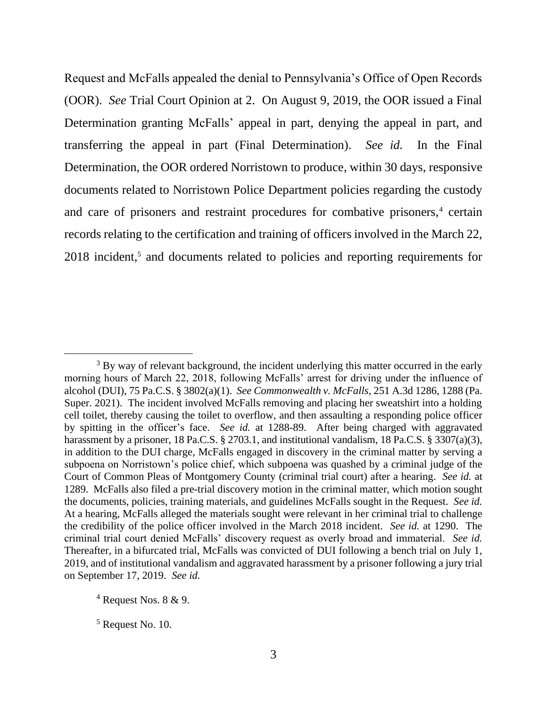Request and McFalls appealed the denial to Pennsylvania's Office of Open Records (OOR). *See* Trial Court Opinion at 2. On August 9, 2019, the OOR issued a Final Determination granting McFalls' appeal in part, denying the appeal in part, and transferring the appeal in part (Final Determination). *See id.* In the Final Determination, the OOR ordered Norristown to produce, within 30 days, responsive documents related to Norristown Police Department policies regarding the custody and care of prisoners and restraint procedures for combative prisoners,<sup>4</sup> certain records relating to the certification and training of officers involved in the March 22, 2018 incident,<sup>5</sup> and documents related to policies and reporting requirements for

<sup>&</sup>lt;sup>3</sup> By way of relevant background, the incident underlying this matter occurred in the early morning hours of March 22, 2018, following McFalls' arrest for driving under the influence of alcohol (DUI), 75 Pa.C.S. § 3802(a)(1). *See Commonwealth v. McFalls*, 251 A.3d 1286, 1288 (Pa. Super. 2021). The incident involved McFalls removing and placing her sweatshirt into a holding cell toilet, thereby causing the toilet to overflow, and then assaulting a responding police officer by spitting in the officer's face. *See id.* at 1288-89. After being charged with aggravated harassment by a prisoner, 18 Pa.C.S. § 2703.1, and institutional vandalism, 18 Pa.C.S. § 3307(a)(3), in addition to the DUI charge, McFalls engaged in discovery in the criminal matter by serving a subpoena on Norristown's police chief, which subpoena was quashed by a criminal judge of the Court of Common Pleas of Montgomery County (criminal trial court) after a hearing. *See id.* at 1289. McFalls also filed a pre-trial discovery motion in the criminal matter, which motion sought the documents, policies, training materials, and guidelines McFalls sought in the Request. *See id.* At a hearing, McFalls alleged the materials sought were relevant in her criminal trial to challenge the credibility of the police officer involved in the March 2018 incident. *See id.* at 1290. The criminal trial court denied McFalls' discovery request as overly broad and immaterial. *See id.* Thereafter, in a bifurcated trial, McFalls was convicted of DUI following a bench trial on July 1, 2019, and of institutional vandalism and aggravated harassment by a prisoner following a jury trial on September 17, 2019. *See id.*

 $4$  Request Nos. 8 & 9.

 $<sup>5</sup>$  Request No. 10.</sup>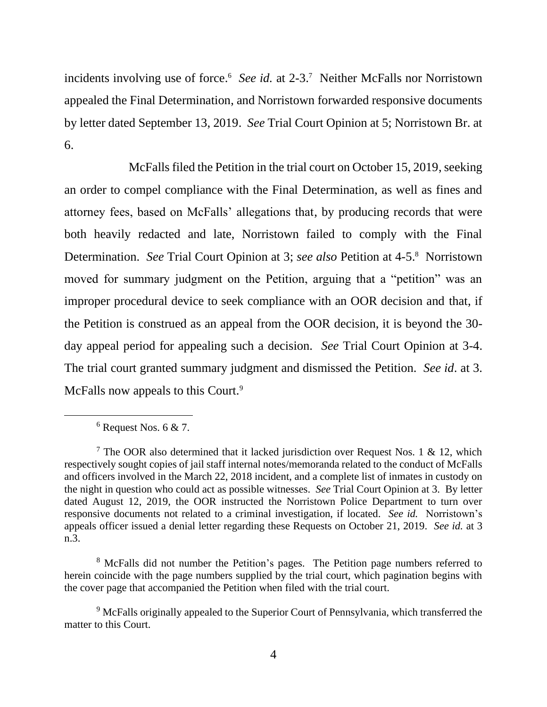incidents involving use of force.<sup>6</sup> See id. at 2-3.<sup>7</sup> Neither McFalls nor Norristown appealed the Final Determination, and Norristown forwarded responsive documents by letter dated September 13, 2019. *See* Trial Court Opinion at 5; Norristown Br. at 6.

McFalls filed the Petition in the trial court on October 15, 2019, seeking an order to compel compliance with the Final Determination, as well as fines and attorney fees, based on McFalls' allegations that, by producing records that were both heavily redacted and late, Norristown failed to comply with the Final Determination. *See* Trial Court Opinion at 3; *see also* Petition at 4-5.<sup>8</sup> Norristown moved for summary judgment on the Petition, arguing that a "petition" was an improper procedural device to seek compliance with an OOR decision and that, if the Petition is construed as an appeal from the OOR decision, it is beyond the 30 day appeal period for appealing such a decision. *See* Trial Court Opinion at 3-4. The trial court granted summary judgment and dismissed the Petition. *See id*. at 3. McFalls now appeals to this Court.<sup>9</sup>

 $6$  Request Nos. 6 & 7.

<sup>&</sup>lt;sup>7</sup> The OOR also determined that it lacked jurisdiction over Request Nos. 1 & 12, which respectively sought copies of jail staff internal notes/memoranda related to the conduct of McFalls and officers involved in the March 22, 2018 incident, and a complete list of inmates in custody on the night in question who could act as possible witnesses. *See* Trial Court Opinion at 3. By letter dated August 12, 2019, the OOR instructed the Norristown Police Department to turn over responsive documents not related to a criminal investigation, if located. *See id.* Norristown's appeals officer issued a denial letter regarding these Requests on October 21, 2019. *See id.* at 3 n.3.

<sup>&</sup>lt;sup>8</sup> McFalls did not number the Petition's pages. The Petition page numbers referred to herein coincide with the page numbers supplied by the trial court, which pagination begins with the cover page that accompanied the Petition when filed with the trial court.

<sup>&</sup>lt;sup>9</sup> McFalls originally appealed to the Superior Court of Pennsylvania, which transferred the matter to this Court.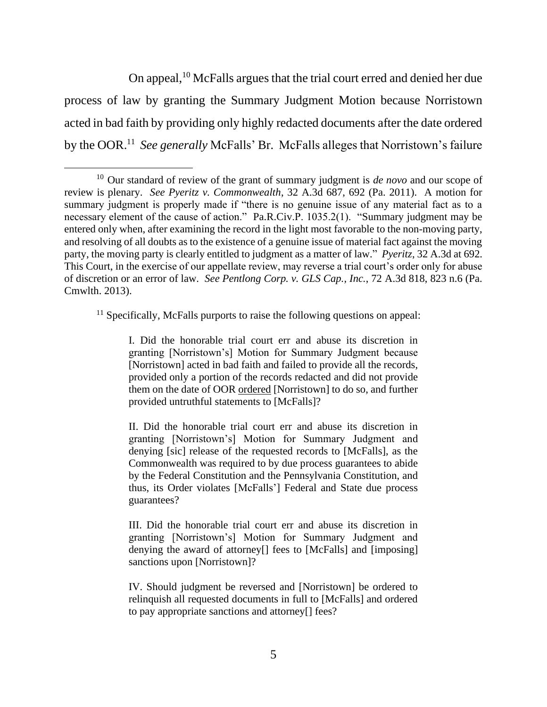On appeal,<sup>10</sup> McFalls argues that the trial court erred and denied her due process of law by granting the Summary Judgment Motion because Norristown acted in bad faith by providing only highly redacted documents after the date ordered by the OOR.<sup>11</sup> See generally McFalls' Br. McFalls alleges that Norristown's failure

<sup>11</sup> Specifically, McFalls purports to raise the following questions on appeal:

I. Did the honorable trial court err and abuse its discretion in granting [Norristown's] Motion for Summary Judgment because [Norristown] acted in bad faith and failed to provide all the records, provided only a portion of the records redacted and did not provide them on the date of OOR ordered [Norristown] to do so, and further provided untruthful statements to [McFalls]?

II. Did the honorable trial court err and abuse its discretion in granting [Norristown's] Motion for Summary Judgment and denying [sic] release of the requested records to [McFalls], as the Commonwealth was required to by due process guarantees to abide by the Federal Constitution and the Pennsylvania Constitution, and thus, its Order violates [McFalls'] Federal and State due process guarantees?

III. Did the honorable trial court err and abuse its discretion in granting [Norristown's] Motion for Summary Judgment and denying the award of attorney[] fees to [McFalls] and [imposing] sanctions upon [Norristown]?

IV. Should judgment be reversed and [Norristown] be ordered to relinquish all requested documents in full to [McFalls] and ordered to pay appropriate sanctions and attorney[] fees?

<sup>10</sup> Our standard of review of the grant of summary judgment is *de novo* and our scope of review is plenary. *See Pyeritz v. Commonwealth*, 32 A.3d 687, 692 (Pa. 2011). A motion for summary judgment is properly made if "there is no genuine issue of any material fact as to a necessary element of the cause of action." Pa.R.Civ.P. 1035.2(1). "Summary judgment may be entered only when, after examining the record in the light most favorable to the non-moving party, and resolving of all doubts as to the existence of a genuine issue of material fact against the moving party, the moving party is clearly entitled to judgment as a matter of law." *Pyeritz*, 32 A.3d at 692. This Court, in the exercise of our appellate review, may reverse a trial court's order only for abuse of discretion or an error of law. *See Pentlong Corp. v. GLS Cap., Inc.*, 72 A.3d 818, 823 n.6 (Pa. Cmwlth. 2013).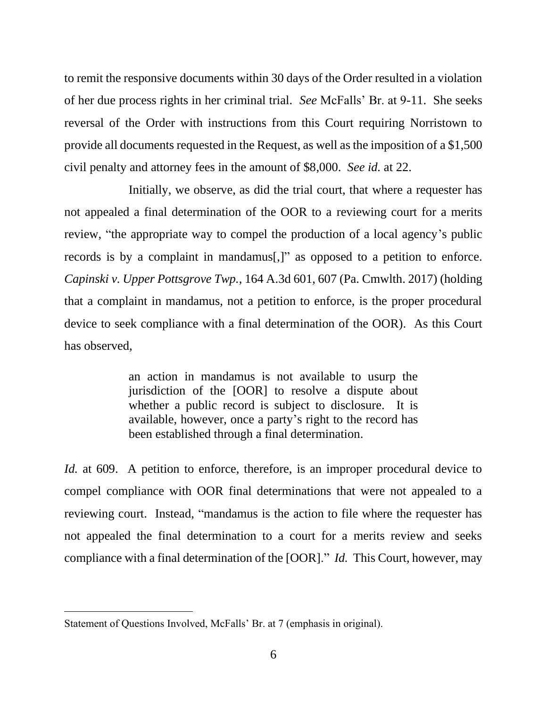to remit the responsive documents within 30 days of the Order resulted in a violation of her due process rights in her criminal trial. *See* McFalls' Br. at 9-11. She seeks reversal of the Order with instructions from this Court requiring Norristown to provide all documents requested in the Request, as well as the imposition of a \$1,500 civil penalty and attorney fees in the amount of \$8,000. *See id.* at 22.

Initially, we observe, as did the trial court, that where a requester has not appealed a final determination of the OOR to a reviewing court for a merits review, "the appropriate way to compel the production of a local agency's public records is by a complaint in mandamus[,]" as opposed to a petition to enforce. *Capinski v. Upper Pottsgrove Twp.*, 164 A.3d 601, 607 (Pa. Cmwlth. 2017) (holding that a complaint in mandamus, not a petition to enforce, is the proper procedural device to seek compliance with a final determination of the OOR). As this Court has observed,

> an action in mandamus is not available to usurp the jurisdiction of the [OOR] to resolve a dispute about whether a public record is subject to disclosure. It is available, however, once a party's right to the record has been established through a final determination.

*Id.* at 609. A petition to enforce, therefore, is an improper procedural device to compel compliance with OOR final determinations that were not appealed to a reviewing court. Instead, "mandamus is the action to file where the requester has not appealed the final determination to a court for a merits review and seeks compliance with a final determination of the [OOR]." *Id.* This Court, however, may

Statement of Questions Involved, McFalls' Br. at 7 (emphasis in original).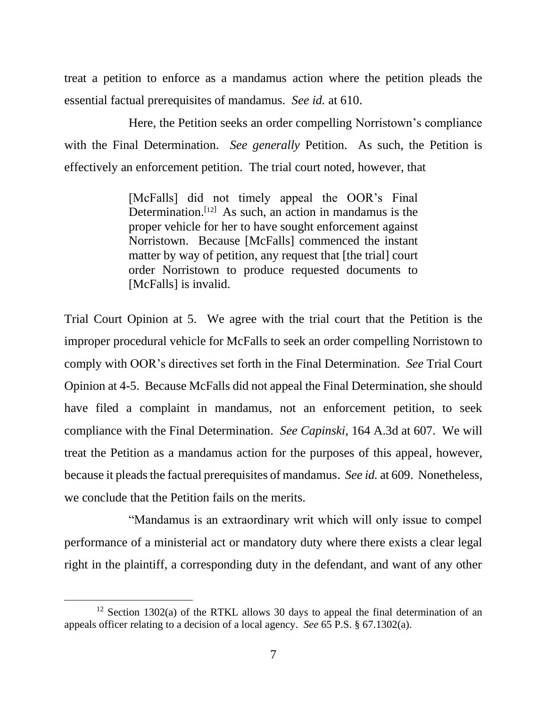treat a petition to enforce as a mandamus action where the petition pleads the essential factual prerequisites of mandamus. *See id.* at 610.

Here, the Petition seeks an order compelling Norristown's compliance with the Final Determination. *See generally* Petition. As such, the Petition is effectively an enforcement petition. The trial court noted, however, that

> [McFalls] did not timely appeal the OOR's Final Determination.<sup>[12]</sup> As such, an action in mandamus is the proper vehicle for her to have sought enforcement against Norristown. Because [McFalls] commenced the instant matter by way of petition, any request that [the trial] court order Norristown to produce requested documents to [McFalls] is invalid.

Trial Court Opinion at 5. We agree with the trial court that the Petition is the improper procedural vehicle for McFalls to seek an order compelling Norristown to comply with OOR's directives set forth in the Final Determination. *See* Trial Court Opinion at 4-5. Because McFalls did not appeal the Final Determination, she should have filed a complaint in mandamus, not an enforcement petition, to seek compliance with the Final Determination. *See Capinski*, 164 A.3d at 607. We will treat the Petition as a mandamus action for the purposes of this appeal, however, because it pleads the factual prerequisites of mandamus. *See id.* at 609. Nonetheless, we conclude that the Petition fails on the merits.

"Mandamus is an extraordinary writ which will only issue to compel performance of a ministerial act or mandatory duty where there exists a clear legal right in the plaintiff, a corresponding duty in the defendant, and want of any other

<sup>&</sup>lt;sup>12</sup> Section 1302(a) of the RTKL allows 30 days to appeal the final determination of an appeals officer relating to a decision of a local agency. *See* 65 P.S. § 67.1302(a).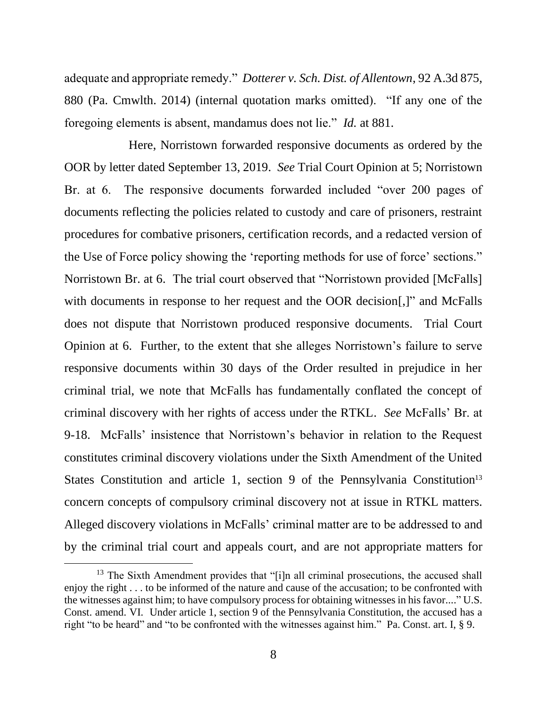adequate and appropriate remedy." *Dotterer v. Sch. Dist. of Allentown*, 92 A.3d 875, 880 (Pa. Cmwlth. 2014) (internal quotation marks omitted). "If any one of the foregoing elements is absent, mandamus does not lie." *Id.* at 881.

Here, Norristown forwarded responsive documents as ordered by the OOR by letter dated September 13, 2019. *See* Trial Court Opinion at 5; Norristown Br. at 6. The responsive documents forwarded included "over 200 pages of documents reflecting the policies related to custody and care of prisoners, restraint procedures for combative prisoners, certification records, and a redacted version of the Use of Force policy showing the 'reporting methods for use of force' sections." Norristown Br. at 6. The trial court observed that "Norristown provided [McFalls] with documents in response to her request and the OOR decision..." and McFalls does not dispute that Norristown produced responsive documents. Trial Court Opinion at 6. Further, to the extent that she alleges Norristown's failure to serve responsive documents within 30 days of the Order resulted in prejudice in her criminal trial, we note that McFalls has fundamentally conflated the concept of criminal discovery with her rights of access under the RTKL. *See* McFalls' Br. at 9-18. McFalls' insistence that Norristown's behavior in relation to the Request constitutes criminal discovery violations under the Sixth Amendment of the United States Constitution and article 1, section 9 of the Pennsylvania Constitution<sup>13</sup> concern concepts of compulsory criminal discovery not at issue in RTKL matters. Alleged discovery violations in McFalls' criminal matter are to be addressed to and by the criminal trial court and appeals court, and are not appropriate matters for

<sup>&</sup>lt;sup>13</sup> The Sixth Amendment provides that " $[i]$ n all criminal prosecutions, the accused shall enjoy the right . . . to be informed of the nature and cause of the accusation; to be confronted with the witnesses against him; to have compulsory process for obtaining witnesses in his favor...." U.S. Const. amend. VI. Under article 1, section 9 of the Pennsylvania Constitution, the accused has a right "to be heard" and "to be confronted with the witnesses against him." Pa. Const. art. I, § 9.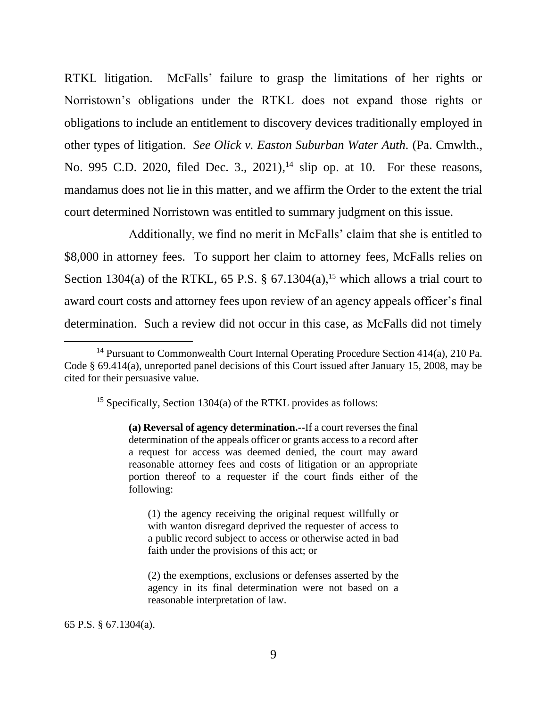RTKL litigation. McFalls' failure to grasp the limitations of her rights or Norristown's obligations under the RTKL does not expand those rights or obligations to include an entitlement to discovery devices traditionally employed in other types of litigation. *See Olick v. Easton Suburban Water Auth.* (Pa. Cmwlth., No. 995 C.D. 2020, filed Dec. 3., 2021),<sup>14</sup> slip op. at 10. For these reasons, mandamus does not lie in this matter, and we affirm the Order to the extent the trial court determined Norristown was entitled to summary judgment on this issue.

Additionally, we find no merit in McFalls' claim that she is entitled to \$8,000 in attorney fees. To support her claim to attorney fees, McFalls relies on Section 1304(a) of the RTKL, 65 P.S. § 67.1304(a),<sup>15</sup> which allows a trial court to award court costs and attorney fees upon review of an agency appeals officer's final determination. Such a review did not occur in this case, as McFalls did not timely

65 P.S. § 67.1304(a).

<sup>&</sup>lt;sup>14</sup> Pursuant to Commonwealth Court Internal Operating Procedure Section  $414(a)$ , 210 Pa. Code § 69.414(a), unreported panel decisions of this Court issued after January 15, 2008, may be cited for their persuasive value.

<sup>&</sup>lt;sup>15</sup> Specifically, Section 1304(a) of the RTKL provides as follows:

**<sup>(</sup>a) Reversal of agency determination.--**If a court reverses the final determination of the appeals officer or grants access to a record after a request for access was deemed denied, the court may award reasonable attorney fees and costs of litigation or an appropriate portion thereof to a requester if the court finds either of the following:

<sup>(1)</sup> the agency receiving the original request willfully or with wanton disregard deprived the requester of access to a public record subject to access or otherwise acted in bad faith under the provisions of this act; or

<sup>(2)</sup> the exemptions, exclusions or defenses asserted by the agency in its final determination were not based on a reasonable interpretation of law.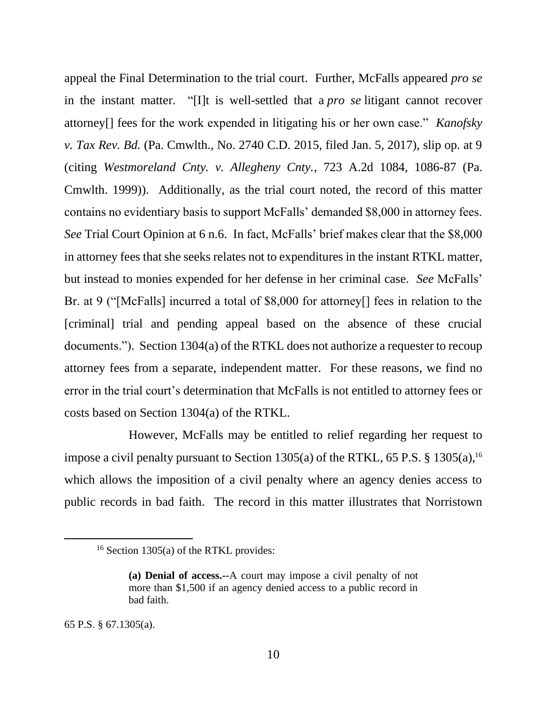appeal the Final Determination to the trial court. Further, McFalls appeared *pro se*  in the instant matter. "[I]t is well-settled that a *pro se* litigant cannot recover attorney[] fees for the work expended in litigating his or her own case." *Kanofsky v. Tax Rev. Bd.* (Pa. Cmwlth., No. 2740 C.D. 2015, filed Jan. 5, 2017), slip op. at 9 (citing *Westmoreland Cnty. v. Allegheny Cnty.*, 723 A.2d 1084, 1086-87 (Pa. Cmwlth. 1999)). Additionally, as the trial court noted, the record of this matter contains no evidentiary basis to support McFalls' demanded \$8,000 in attorney fees. *See* Trial Court Opinion at 6 n.6. In fact, McFalls' brief makes clear that the \$8,000 in attorney fees that she seeks relates not to expenditures in the instant RTKL matter, but instead to monies expended for her defense in her criminal case. *See* McFalls' Br. at 9 ("[McFalls] incurred a total of \$8,000 for attorney<sup>[]</sup> fees in relation to the [criminal] trial and pending appeal based on the absence of these crucial documents."). Section 1304(a) of the RTKL does not authorize a requester to recoup attorney fees from a separate, independent matter. For these reasons, we find no error in the trial court's determination that McFalls is not entitled to attorney fees or costs based on Section 1304(a) of the RTKL.

However, McFalls may be entitled to relief regarding her request to impose a civil penalty pursuant to Section 1305(a) of the RTKL, 65 P.S. § 1305(a), 16 which allows the imposition of a civil penalty where an agency denies access to public records in bad faith. The record in this matter illustrates that Norristown

65 P.S. § 67.1305(a).

<sup>&</sup>lt;sup>16</sup> Section 1305(a) of the RTKL provides:

**<sup>(</sup>a) Denial of access.--**A court may impose a civil penalty of not more than \$1,500 if an agency denied access to a public record in bad faith.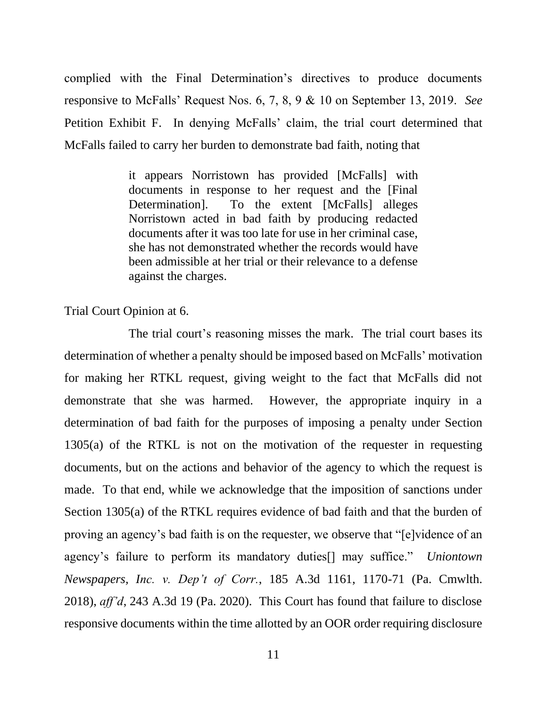complied with the Final Determination's directives to produce documents responsive to McFalls' Request Nos. 6, 7, 8, 9 & 10 on September 13, 2019. *See* Petition Exhibit F. In denying McFalls' claim, the trial court determined that McFalls failed to carry her burden to demonstrate bad faith, noting that

> it appears Norristown has provided [McFalls] with documents in response to her request and the [Final Determination]. To the extent [McFalls] alleges Norristown acted in bad faith by producing redacted documents after it was too late for use in her criminal case, she has not demonstrated whether the records would have been admissible at her trial or their relevance to a defense against the charges.

Trial Court Opinion at 6.

The trial court's reasoning misses the mark. The trial court bases its determination of whether a penalty should be imposed based on McFalls' motivation for making her RTKL request, giving weight to the fact that McFalls did not demonstrate that she was harmed. However, the appropriate inquiry in a determination of bad faith for the purposes of imposing a penalty under Section  $1305(a)$  of the RTKL is not on the motivation of the requester in requesting documents, but on the actions and behavior of the agency to which the request is made. To that end, while we acknowledge that the imposition of sanctions under Section 1305(a) of the RTKL requires evidence of bad faith and that the burden of proving an agency's bad faith is on the requester, we observe that "[e]vidence of an agency's failure to perform its mandatory duties[] may suffice." *Uniontown Newspapers, Inc. v. Dep't of Corr.*, 185 A.3d 1161, 1170-71 (Pa. Cmwlth. 2018), *aff'd*, 243 A.3d 19 (Pa. 2020). This Court has found that failure to disclose responsive documents within the time allotted by an OOR order requiring disclosure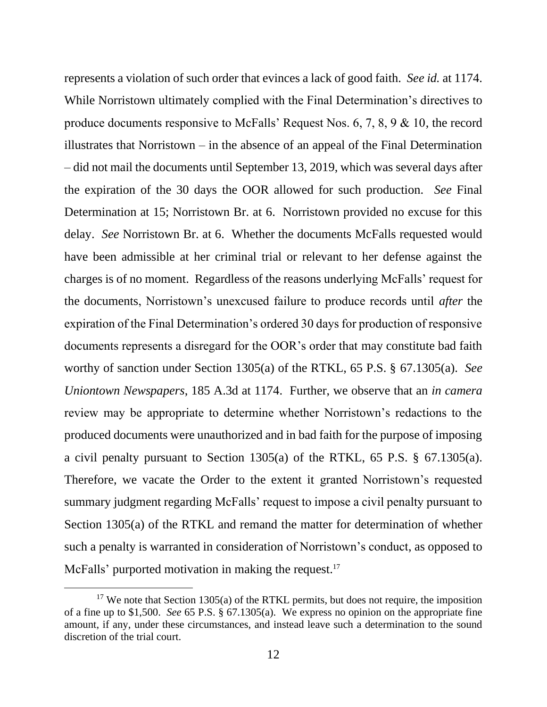represents a violation of such order that evinces a lack of good faith. *See id.* at 1174. While Norristown ultimately complied with the Final Determination's directives to produce documents responsive to McFalls' Request Nos. 6, 7, 8, 9 & 10, the record illustrates that Norristown – in the absence of an appeal of the Final Determination – did not mail the documents until September 13, 2019, which was several days after the expiration of the 30 days the OOR allowed for such production. *See* Final Determination at 15; Norristown Br. at 6. Norristown provided no excuse for this delay. *See* Norristown Br. at 6. Whether the documents McFalls requested would have been admissible at her criminal trial or relevant to her defense against the charges is of no moment. Regardless of the reasons underlying McFalls' request for the documents, Norristown's unexcused failure to produce records until *after* the expiration of the Final Determination's ordered 30 days for production of responsive documents represents a disregard for the OOR's order that may constitute bad faith worthy of sanction under Section 1305(a) of the RTKL, 65 P.S. § 67.1305(a). *See Uniontown Newspapers*, 185 A.3d at 1174. Further, we observe that an *in camera* review may be appropriate to determine whether Norristown's redactions to the produced documents were unauthorized and in bad faith for the purpose of imposing a civil penalty pursuant to Section 1305(a) of the RTKL, 65 P.S. § 67.1305(a). Therefore, we vacate the Order to the extent it granted Norristown's requested summary judgment regarding McFalls' request to impose a civil penalty pursuant to Section 1305(a) of the RTKL and remand the matter for determination of whether such a penalty is warranted in consideration of Norristown's conduct, as opposed to McFalls' purported motivation in making the request.<sup>17</sup>

<sup>&</sup>lt;sup>17</sup> We note that Section 1305(a) of the RTKL permits, but does not require, the imposition of a fine up to \$1,500. *See* 65 P.S. § 67.1305(a). We express no opinion on the appropriate fine amount, if any, under these circumstances, and instead leave such a determination to the sound discretion of the trial court.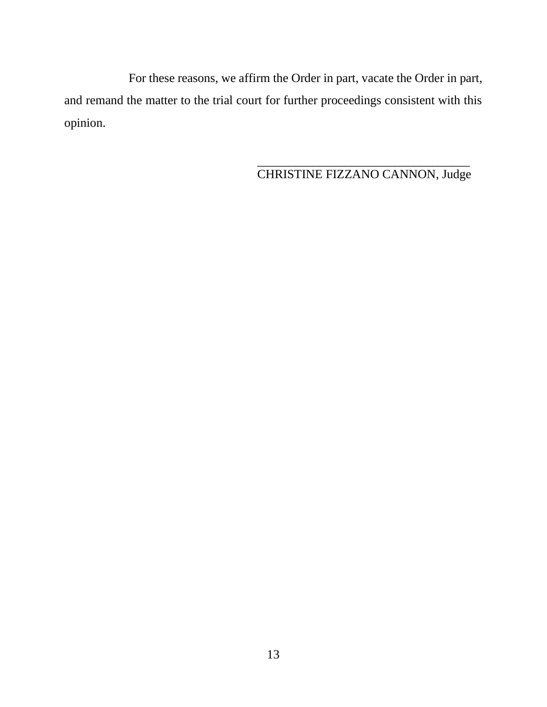For these reasons, we affirm the Order in part, vacate the Order in part, and remand the matter to the trial court for further proceedings consistent with this opinion.

> \_\_\_\_\_\_\_\_\_\_\_\_\_\_\_\_\_\_\_\_\_\_\_\_\_\_\_\_\_\_\_\_\_\_ CHRISTINE FIZZANO CANNON, Judge